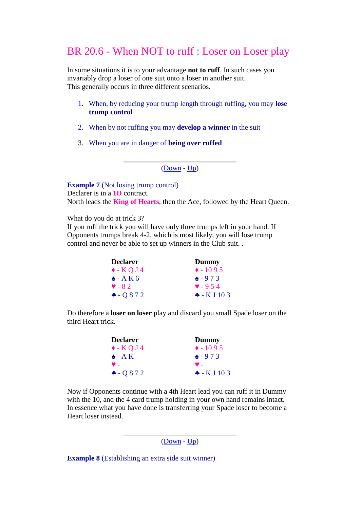## BR 20.6 - When NOT to ruff : Loser on Loser play

In some situations it is to your advantage **not to ruff**. In such cases you invariably drop a loser of one suit onto a loser in another suit. This generally occurs in three different scenarios.

- 1. When, by reducing your trump length through ruffing, you may **lose trump control**
- 2. When by not ruffing you may **develop a winner** in the suit
- 3. When you are in danger of **being over ruffed**

[\(Down](http://www.jazclass.aust.com/bridge/br20.htm#06b) - [Up\)](http://www.jazclass.aust.com/bridge/br20.htm#06)

**Example 7** (Not losing trump control) Declarer is in a **1D** contract. North leads the **King of Hearts**, then the Ace, followed by the Heart Queen.

What do you do at trick 3?

If you ruff the trick you will have only three trumps left in your hand. If Opponents trumps break 4-2, which is most likely, you will lose trump control and never be able to set up winners in the Club suit. .

| <b>Declarer</b>        | Dummy                  |
|------------------------|------------------------|
| $\triangleleft$ - KQJ4 | $\triangle$ - 1095     |
| $\triangle$ - A K 6    | $\bullet$ -973         |
| $\triangledown - 82$   | $\bullet$ - 9.54       |
| $-0872$                | $\triangle$ - K J 10 3 |

Do therefore a **loser on loser** play and discard you small Spade loser on the third Heart trick.

| <b>Declarer</b>        | Dummy                  |
|------------------------|------------------------|
| $\triangleleft$ - KQJ4 | $\triangle$ - 1095     |
| $\triangle$ - A K      | $\triangle$ -973       |
| $\bullet$ .            | $\bullet$ .            |
| $-0872$                | $\triangle$ - K J 10 3 |

Now if Opponents continue with a 4th Heart lead you can ruff it in Dummy with the 10, and the 4 card trump holding in your own hand remains intact. In essence what you have done is transferring your Spade loser to become a Heart loser instead.

[\(Down](http://www.jazclass.aust.com/bridge/br20.htm#06c) - [Up\)](http://www.jazclass.aust.com/bridge/br20.htm#06a)

**Example 8** (Establishing an extra side suit winner)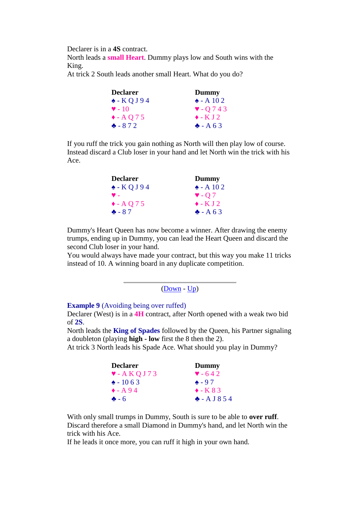Declarer is in a **4S** contract.

North leads a **small Heart**. Dummy plays low and South wins with the King.

At trick 2 South leads another small Heart. What do you do?

| <b>Declarer</b>           | Dummy                |
|---------------------------|----------------------|
| $\triangle$ - KQJ94       | $\triangle$ - A 10 2 |
| $\blacktriangledown$ - 10 | $\sqrt{743}$         |
| $\triangle$ - A Q 7 5     | $\bullet$ - K J 2    |
| $-872$                    | $A - A 63$           |

If you ruff the trick you gain nothing as North will then play low of course. Instead discard a Club loser in your hand and let North win the trick with his Ace.

| Declarer              | Dummy                      |
|-----------------------|----------------------------|
| $\triangle$ - KQJ94   | $\triangle$ - A 10 2       |
| ♥ -                   | $\blacktriangledown$ - O 7 |
| $\triangle$ - A Q 7 5 | $\triangle$ - K J 2        |
| $-87$                 | $A - A 63$                 |

Dummy's Heart Queen has now become a winner. After drawing the enemy trumps, ending up in Dummy, you can lead the Heart Queen and discard the second Club loser in your hand.

You would always have made your contract, but this way you make 11 tricks instead of 10. A winning board in any duplicate competition.

```
(Down - Up)
```
## **Example 9** (Avoiding being over ruffed)

Declarer (West) is in a **4H** contract, after North opened with a weak two bid of **2S**.

North leads the **King of Spades** followed by the Queen, his Partner signaling a doubleton (playing **high - low** first the 8 then the 2).

At trick 3 North leads his Spade Ace. What should you play in Dummy?

| <b>Declarer</b>                    | Dummy               |
|------------------------------------|---------------------|
| $\blacktriangledown$ - A K Q J 7 3 | $\bullet$ - 642     |
| $\triangle$ - 10 6 3               | $\bullet$ - 97      |
| $\triangle$ - A 94                 | $\triangle$ - K 8 3 |
| $-6$                               | $- A J 8 5 4$       |

With only small trumps in Dummy, South is sure to be able to **over ruff**. Discard therefore a small Diamond in Dummy's hand, and let North win the trick with his Ace.

If he leads it once more, you can ruff it high in your own hand.